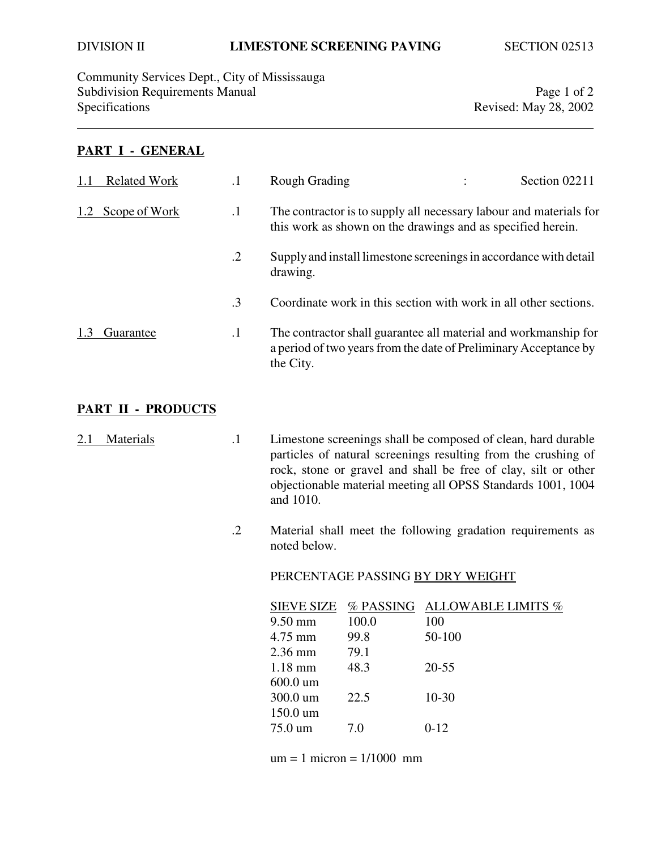Community Services Dept., City of Mississauga Subdivision Requirements Manual Page 1 of 2<br>Specifications Revised: May 28, 2002

Revised: May 28, 2002

### **PART I - GENERAL**

| <b>Related Work</b> |           | <b>Rough Grading</b> | Section 02211                                                                                                                                                                                                                                                                                                                                                                                                     |
|---------------------|-----------|----------------------|-------------------------------------------------------------------------------------------------------------------------------------------------------------------------------------------------------------------------------------------------------------------------------------------------------------------------------------------------------------------------------------------------------------------|
| Scope of Work       | $\cdot$   |                      |                                                                                                                                                                                                                                                                                                                                                                                                                   |
|                     | $\cdot$ 2 | drawing.             |                                                                                                                                                                                                                                                                                                                                                                                                                   |
|                     | $\cdot$ 3 |                      |                                                                                                                                                                                                                                                                                                                                                                                                                   |
| Guarantee           | $\cdot$   | the City.            |                                                                                                                                                                                                                                                                                                                                                                                                                   |
|                     |           |                      | The contractor is to supply all necessary labour and materials for<br>this work as shown on the drawings and as specified herein.<br>Supply and install limestone screenings in accordance with detail<br>Coordinate work in this section with work in all other sections.<br>The contractor shall guarantee all material and workmanship for<br>a period of two years from the date of Preliminary Acceptance by |

# **PART II - PRODUCTS**

| 2.1 Materials | Limestone screenings shall be composed of clean, hard durable  |
|---------------|----------------------------------------------------------------|
|               | particles of natural screenings resulting from the crushing of |
|               | rock, stone or gravel and shall be free of clay, silt or other |
|               | objectionable material meeting all OPSS Standards 1001, 1004   |
|               | and 1010.                                                      |

.2 Material shall meet the following gradation requirements as noted below.

### PERCENTAGE PASSING BY DRY WEIGHT

| SIEVE SIZE |       | $\%$ PASSING ALLOWABLE LIMITS $\%$ |
|------------|-------|------------------------------------|
| 9.50 mm    | 100.0 | 100                                |
| 4.75 mm    | 99.8  | 50-100                             |
| 2.36 mm    | 79.1  |                                    |
| $1.18$ mm  | 48.3  | $20 - 55$                          |
| 600.0 um   |       |                                    |
| 300.0 um   | 22.5  | $10 - 30$                          |
| 150.0 um   |       |                                    |
| 75.0 um    | 7.0   | $0-12$                             |
|            |       |                                    |

 $um = 1$  micron =  $1/1000$  mm